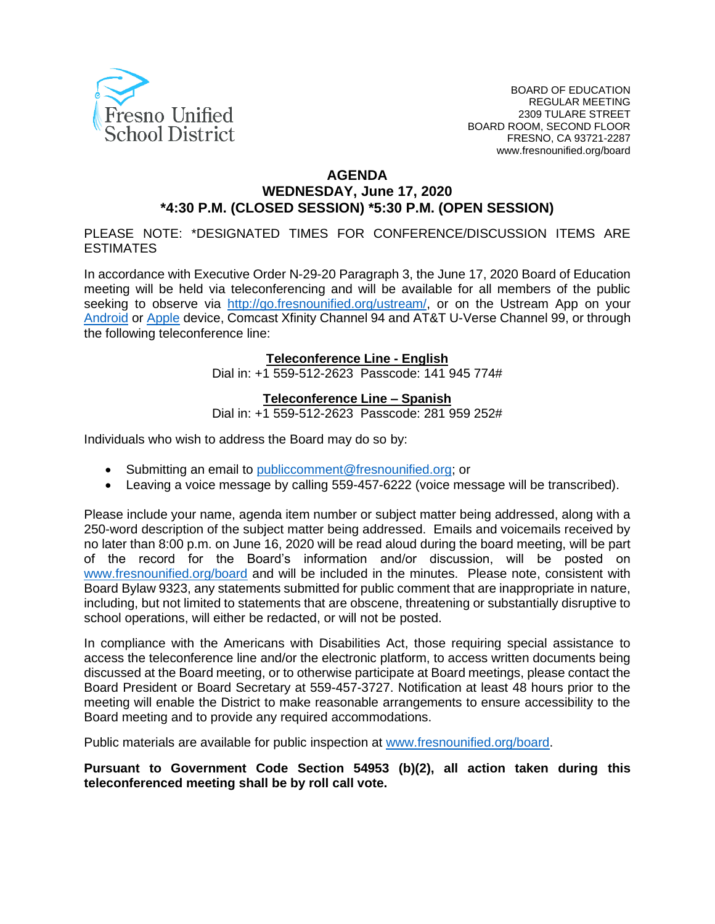

#### **AGENDA WEDNESDAY, June 17, 2020 \*4:30 P.M. (CLOSED SESSION) \*5:30 P.M. (OPEN SESSION)**

PLEASE NOTE: \*DESIGNATED TIMES FOR CONFERENCE/DISCUSSION ITEMS ARE ESTIMATES

In accordance with Executive Order N-29-20 Paragraph 3, the June 17, 2020 Board of Education meeting will be held via teleconferencing and will be available for all members of the public seeking to observe via [http://go.fresnounified.org/ustream/,](http://go.fresnounified.org/ustream/) or on the Ustream App on your [Android](https://play.google.com/store/apps/details?id=tv.ustream.ustream&hl=en_US) or [Apple](https://itunes.apple.com/us/app/ustream/id301520250?mt=8) device, Comcast Xfinity Channel 94 and AT&T U-Verse Channel 99, or through the following teleconference line:

#### **Teleconference Line - English**

Dial in: +1 559-512-2623 Passcode: 141 945 774#

#### **Teleconference Line – Spanish**

Dial in: +1 559-512-2623 Passcode: 281 959 252#

Individuals who wish to address the Board may do so by:

- Submitting an email to [publiccomment@fresnounified.org;](mailto:publiccomment@fresnounified.org) or
- Leaving a voice message by calling 559-457-6222 (voice message will be transcribed).

Please include your name, agenda item number or subject matter being addressed, along with a 250-word description of the subject matter being addressed. Emails and voicemails received by no later than 8:00 p.m. on June 16, 2020 will be read aloud during the board meeting, will be part of the record for the Board's information and/or discussion, will be posted on [www.fresnounified.org/board](http://www.fresnounified.org/board) and will be included in the minutes. Please note, consistent with Board Bylaw 9323, any statements submitted for public comment that are inappropriate in nature, including, but not limited to statements that are obscene, threatening or substantially disruptive to school operations, will either be redacted, or will not be posted.

In compliance with the Americans with Disabilities Act, those requiring special assistance to access the teleconference line and/or the electronic platform, to access written documents being discussed at the Board meeting, or to otherwise participate at Board meetings, please contact the Board President or Board Secretary at 559-457-3727. Notification at least 48 hours prior to the meeting will enable the District to make reasonable arrangements to ensure accessibility to the Board meeting and to provide any required accommodations.

Public materials are available for public inspection at [www.fresnounified.org/board.](http://www.fresnounified.org/board)

**Pursuant to Government Code Section 54953 (b)(2), all action taken during this teleconferenced meeting shall be by roll call vote.**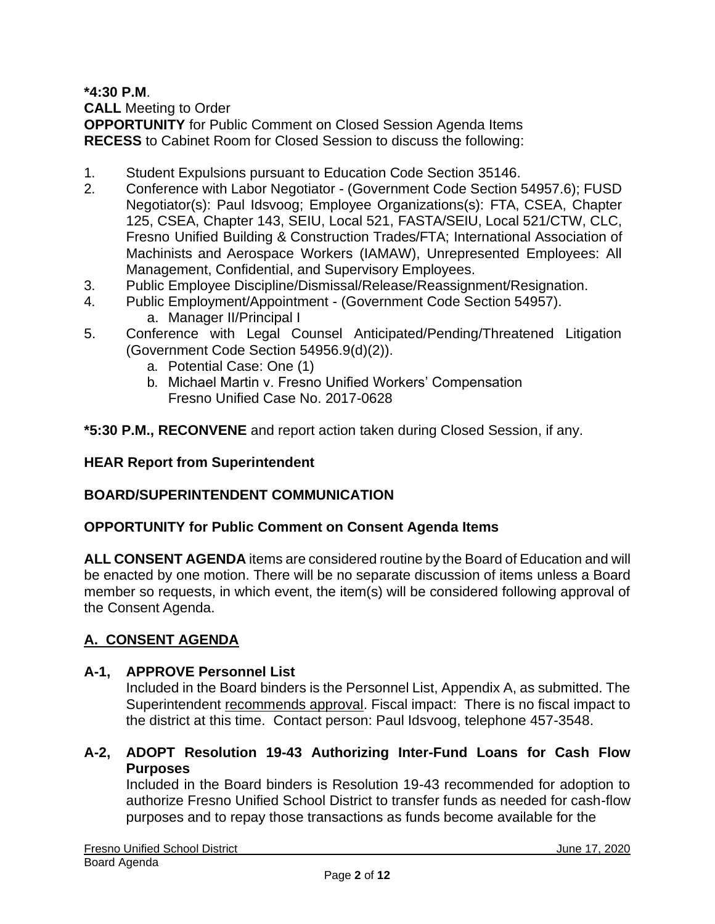**\*4:30 P.M**.

**CALL** Meeting to Order

**OPPORTUNITY** for Public Comment on Closed Session Agenda Items **RECESS** to Cabinet Room for Closed Session to discuss the following:

- 1. Student Expulsions pursuant to Education Code Section 35146.
- 2. Conference with Labor Negotiator (Government Code Section 54957.6); FUSD Negotiator(s): Paul Idsvoog; Employee Organizations(s): FTA, CSEA, Chapter 125, CSEA, Chapter 143, SEIU, Local 521, FASTA/SEIU, Local 521/CTW, CLC, Fresno Unified Building & Construction Trades/FTA; International Association of Machinists and Aerospace Workers (IAMAW), Unrepresented Employees: All Management, Confidential, and Supervisory Employees.
- 3. Public Employee Discipline/Dismissal/Release/Reassignment/Resignation.
- 4. Public Employment/Appointment (Government Code Section 54957).
	- a. Manager II/Principal I
- 5. Conference with Legal Counsel Anticipated/Pending/Threatened Litigation (Government Code Section 54956.9(d)(2)).
	- a. Potential Case: One (1)
	- b. Michael Martin v. Fresno Unified Workers' Compensation Fresno Unified Case No. 2017-0628
- **\*5:30 P.M., RECONVENE** and report action taken during Closed Session, if any.

### **HEAR Report from Superintendent**

### **BOARD/SUPERINTENDENT COMMUNICATION**

### **OPPORTUNITY for Public Comment on Consent Agenda Items**

**ALL CONSENT AGENDA** items are considered routine by the Board of Education and will be enacted by one motion. There will be no separate discussion of items unless a Board member so requests, in which event, the item(s) will be considered following approval of the Consent Agenda.

### **A. CONSENT AGENDA**

#### **A-1, APPROVE Personnel List**

Included in the Board binders is the Personnel List, Appendix A, as submitted. The Superintendent recommends approval. Fiscal impact: There is no fiscal impact to the district at this time. Contact person: Paul Idsvoog, telephone 457-3548.

**A-2, ADOPT Resolution 19-43 Authorizing Inter-Fund Loans for Cash Flow Purposes**

Included in the Board binders is Resolution 19-43 recommended for adoption to authorize Fresno Unified School District to transfer funds as needed for cash-flow purposes and to repay those transactions as funds become available for the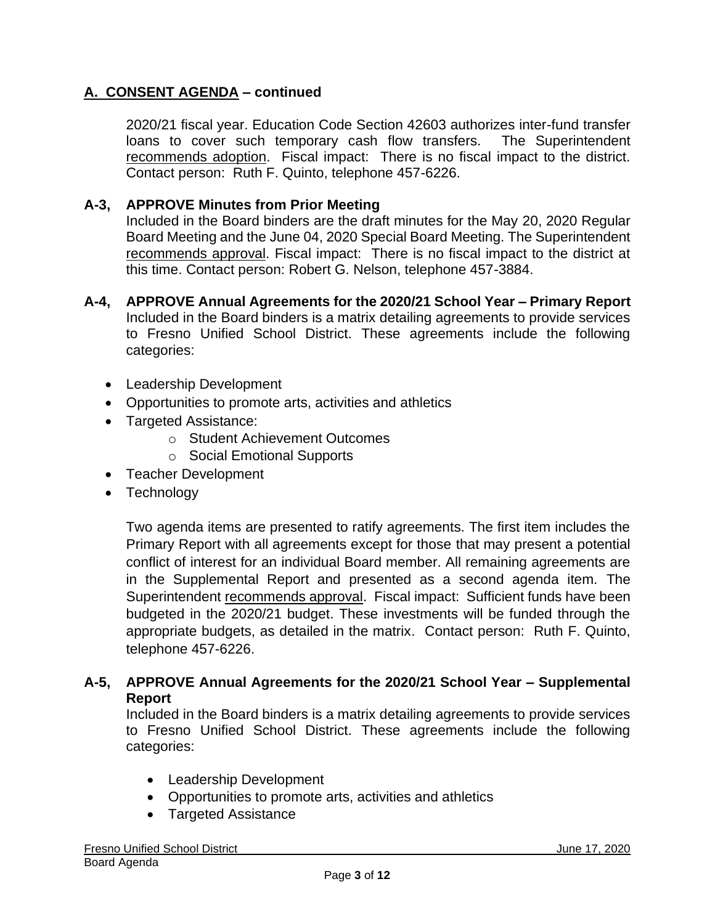2020/21 fiscal year. Education Code Section 42603 authorizes inter-fund transfer loans to cover such temporary cash flow transfers. The Superintendent recommends adoption. Fiscal impact: There is no fiscal impact to the district. Contact person: Ruth F. Quinto, telephone 457-6226.

#### **A-3, APPROVE Minutes from Prior Meeting**

Included in the Board binders are the draft minutes for the May 20, 2020 Regular Board Meeting and the June 04, 2020 Special Board Meeting. The Superintendent recommends approval. Fiscal impact: There is no fiscal impact to the district at this time. Contact person: Robert G. Nelson, telephone 457-3884.

- **A-4, APPROVE Annual Agreements for the 2020/21 School Year – Primary Report** Included in the Board binders is a matrix detailing agreements to provide services to Fresno Unified School District. These agreements include the following categories:
	- Leadership Development
	- Opportunities to promote arts, activities and athletics
	- Targeted Assistance:
		- o Student Achievement Outcomes
		- o Social Emotional Supports
	- Teacher Development
	- Technology

Two agenda items are presented to ratify agreements. The first item includes the Primary Report with all agreements except for those that may present a potential conflict of interest for an individual Board member. All remaining agreements are in the Supplemental Report and presented as a second agenda item. The Superintendent recommends approval. Fiscal impact: Sufficient funds have been budgeted in the 2020/21 budget. These investments will be funded through the appropriate budgets, as detailed in the matrix. Contact person: Ruth F. Quinto, telephone 457-6226.

#### **A-5, APPROVE Annual Agreements for the 2020/21 School Year – Supplemental Report**

Included in the Board binders is a matrix detailing agreements to provide services to Fresno Unified School District. These agreements include the following categories:

- Leadership Development
- Opportunities to promote arts, activities and athletics
- Targeted Assistance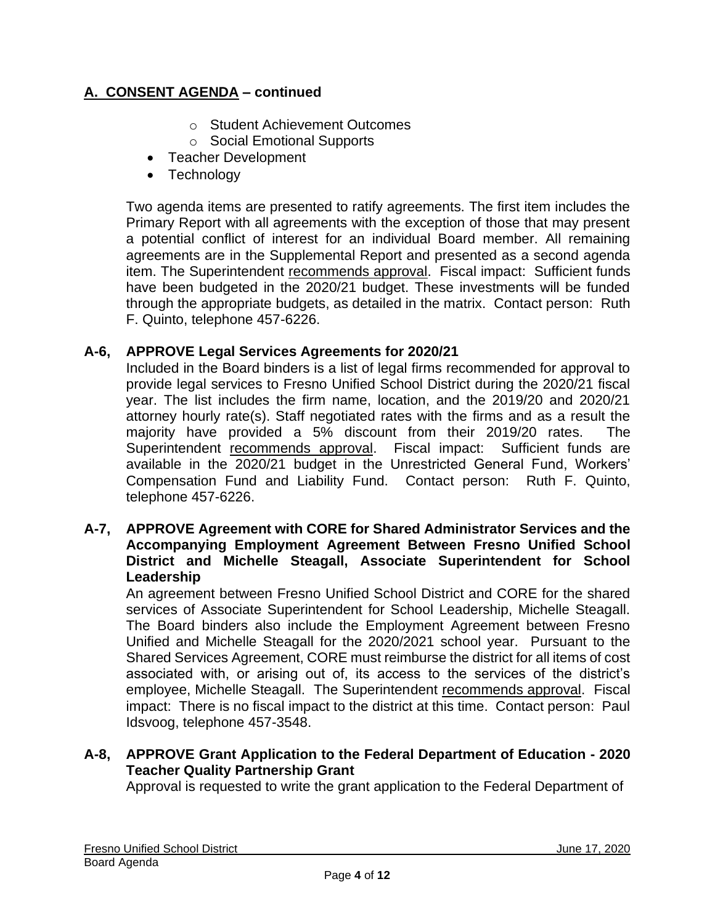- o Student Achievement Outcomes
- o Social Emotional Supports
- Teacher Development
- Technology

Two agenda items are presented to ratify agreements. The first item includes the Primary Report with all agreements with the exception of those that may present a potential conflict of interest for an individual Board member. All remaining agreements are in the Supplemental Report and presented as a second agenda item. The Superintendent recommends approval. Fiscal impact: Sufficient funds have been budgeted in the 2020/21 budget. These investments will be funded through the appropriate budgets, as detailed in the matrix. Contact person: Ruth F. Quinto, telephone 457-6226.

#### **A-6, APPROVE Legal Services Agreements for 2020/21**

Included in the Board binders is a list of legal firms recommended for approval to provide legal services to Fresno Unified School District during the 2020/21 fiscal year. The list includes the firm name, location, and the 2019/20 and 2020/21 attorney hourly rate(s). Staff negotiated rates with the firms and as a result the majority have provided a 5% discount from their 2019/20 rates. The Superintendent recommends approval. Fiscal impact: Sufficient funds are available in the 2020/21 budget in the Unrestricted General Fund, Workers' Compensation Fund and Liability Fund. Contact person: Ruth F. Quinto, telephone 457-6226.

#### **A-7, APPROVE Agreement with CORE for Shared Administrator Services and the Accompanying Employment Agreement Between Fresno Unified School District and Michelle Steagall, Associate Superintendent for School Leadership**

An agreement between Fresno Unified School District and CORE for the shared services of Associate Superintendent for School Leadership, Michelle Steagall. The Board binders also include the Employment Agreement between Fresno Unified and Michelle Steagall for the 2020/2021 school year. Pursuant to the Shared Services Agreement, CORE must reimburse the district for all items of cost associated with, or arising out of, its access to the services of the district's employee, Michelle Steagall. The Superintendent recommends approval. Fiscal impact: There is no fiscal impact to the district at this time. Contact person: Paul Idsvoog, telephone 457-3548.

### **A-8, APPROVE Grant Application to the Federal Department of Education - 2020 Teacher Quality Partnership Grant**

Approval is requested to write the grant application to the Federal Department of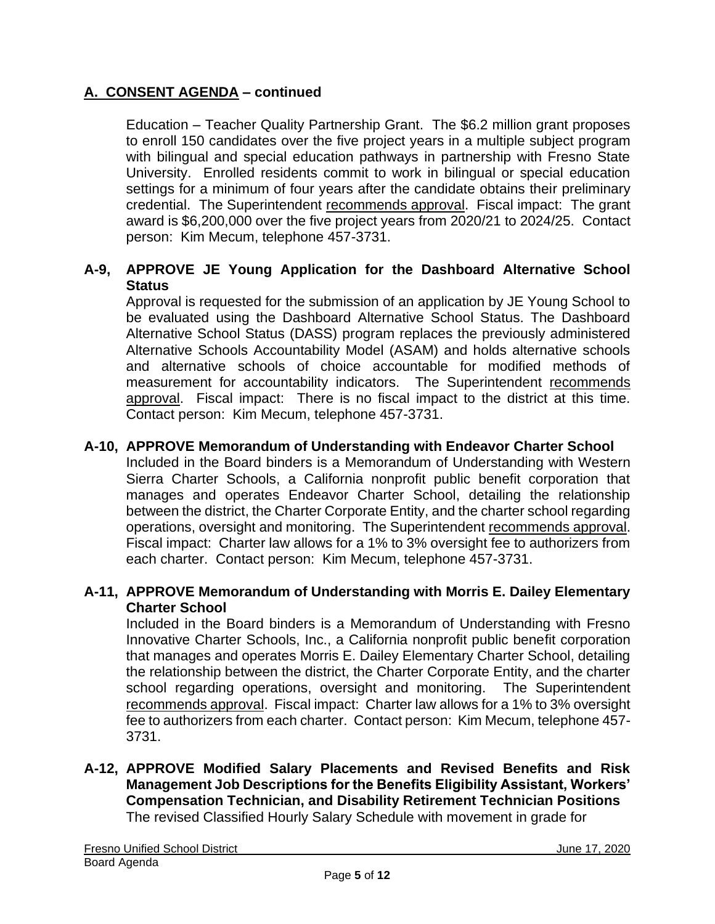Education – Teacher Quality Partnership Grant. The \$6.2 million grant proposes to enroll 150 candidates over the five project years in a multiple subject program with bilingual and special education pathways in partnership with Fresno State University. Enrolled residents commit to work in bilingual or special education settings for a minimum of four years after the candidate obtains their preliminary credential. The Superintendent recommends approval. Fiscal impact: The grant award is \$6,200,000 over the five project years from 2020/21 to 2024/25. Contact person: Kim Mecum, telephone 457-3731.

## **A-9, APPROVE JE Young Application for the Dashboard Alternative School Status**

Approval is requested for the submission of an application by JE Young School to be evaluated using the Dashboard Alternative School Status. The Dashboard Alternative School Status (DASS) program replaces the previously administered Alternative Schools Accountability Model (ASAM) and holds alternative schools and alternative schools of choice accountable for modified methods of measurement for accountability indicators. The Superintendent recommends approval. Fiscal impact: There is no fiscal impact to the district at this time. Contact person: Kim Mecum, telephone 457-3731.

## **A-10, APPROVE Memorandum of Understanding with Endeavor Charter School**

Included in the Board binders is a Memorandum of Understanding with Western Sierra Charter Schools, a California nonprofit public benefit corporation that manages and operates Endeavor Charter School, detailing the relationship between the district, the Charter Corporate Entity, and the charter school regarding operations, oversight and monitoring. The Superintendent recommends approval. Fiscal impact: Charter law allows for a 1% to 3% oversight fee to authorizers from each charter. Contact person: Kim Mecum, telephone 457-3731.

#### **A-11, APPROVE Memorandum of Understanding with Morris E. Dailey Elementary Charter School**

Included in the Board binders is a Memorandum of Understanding with Fresno Innovative Charter Schools, Inc., a California nonprofit public benefit corporation that manages and operates Morris E. Dailey Elementary Charter School, detailing the relationship between the district, the Charter Corporate Entity, and the charter school regarding operations, oversight and monitoring. The Superintendent recommends approval. Fiscal impact: Charter law allows for a 1% to 3% oversight fee to authorizers from each charter. Contact person: Kim Mecum, telephone 457- 3731.

#### **A-12, APPROVE Modified Salary Placements and Revised Benefits and Risk Management Job Descriptions for the Benefits Eligibility Assistant, Workers' Compensation Technician, and Disability Retirement Technician Positions** The revised Classified Hourly Salary Schedule with movement in grade for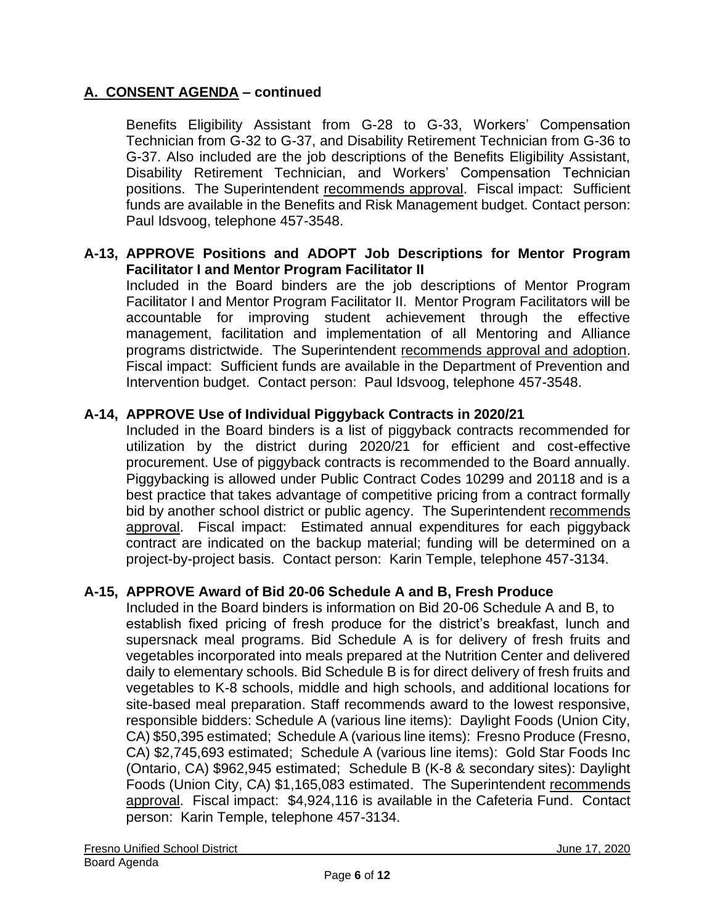Benefits Eligibility Assistant from G-28 to G-33, Workers' Compensation Technician from G-32 to G-37, and Disability Retirement Technician from G-36 to G-37. Also included are the job descriptions of the Benefits Eligibility Assistant, Disability Retirement Technician, and Workers' Compensation Technician positions. The Superintendent recommends approval. Fiscal impact: Sufficient funds are available in the Benefits and Risk Management budget. Contact person: Paul Idsvoog, telephone 457-3548.

#### **A-13, APPROVE Positions and ADOPT Job Descriptions for Mentor Program Facilitator I and Mentor Program Facilitator II**

Included in the Board binders are the job descriptions of Mentor Program Facilitator I and Mentor Program Facilitator II. Mentor Program Facilitators will be accountable for improving student achievement through the effective management, facilitation and implementation of all Mentoring and Alliance programs districtwide. The Superintendent recommends approval and adoption. Fiscal impact: Sufficient funds are available in the Department of Prevention and Intervention budget. Contact person: Paul Idsvoog, telephone 457-3548.

### **A-14, APPROVE Use of Individual Piggyback Contracts in 2020/21**

Included in the Board binders is a list of piggyback contracts recommended for utilization by the district during 2020/21 for efficient and cost-effective procurement. Use of piggyback contracts is recommended to the Board annually. Piggybacking is allowed under Public Contract Codes 10299 and 20118 and is a best practice that takes advantage of competitive pricing from a contract formally bid by another school district or public agency. The Superintendent recommends approval. Fiscal impact: Estimated annual expenditures for each piggyback contract are indicated on the backup material; funding will be determined on a project-by-project basis. Contact person: Karin Temple, telephone 457-3134.

### **A-15, APPROVE Award of Bid 20-06 Schedule A and B, Fresh Produce**

Included in the Board binders is information on Bid 20-06 Schedule A and B, to establish fixed pricing of fresh produce for the district's breakfast, lunch and supersnack meal programs. Bid Schedule A is for delivery of fresh fruits and vegetables incorporated into meals prepared at the Nutrition Center and delivered daily to elementary schools. Bid Schedule B is for direct delivery of fresh fruits and vegetables to K-8 schools, middle and high schools, and additional locations for site-based meal preparation. Staff recommends award to the lowest responsive, responsible bidders: Schedule A (various line items): Daylight Foods (Union City, CA) \$50,395 estimated; Schedule A (various line items): Fresno Produce (Fresno, CA) \$2,745,693 estimated; Schedule A (various line items): Gold Star Foods Inc (Ontario, CA) \$962,945 estimated; Schedule B (K-8 & secondary sites): Daylight Foods (Union City, CA) \$1,165,083 estimated. The Superintendent recommends approval. Fiscal impact: \$4,924,116 is available in the Cafeteria Fund. Contact person: Karin Temple, telephone 457-3134.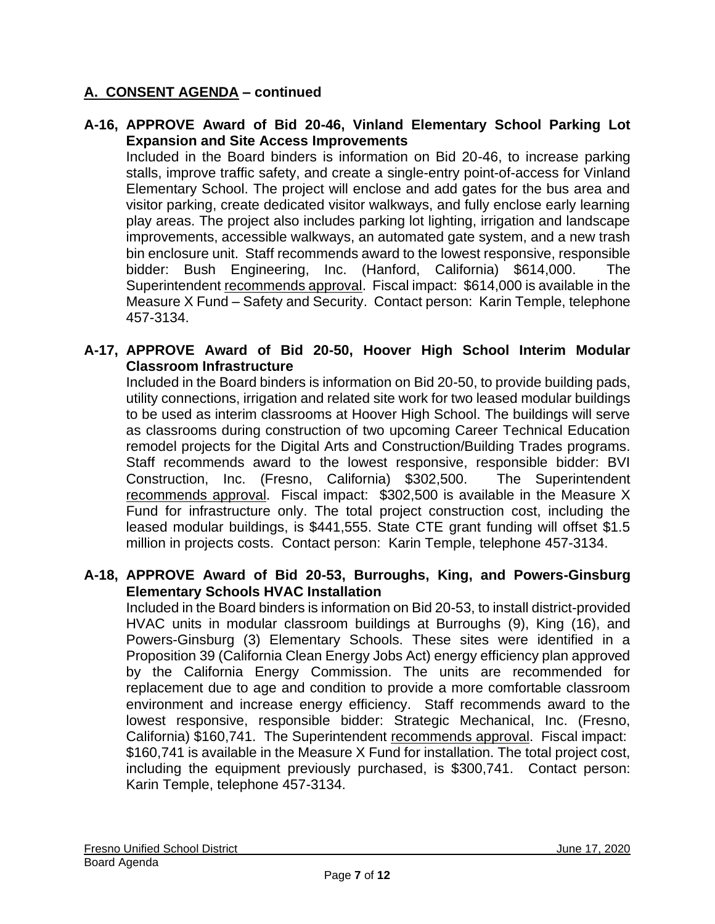#### **A-16, APPROVE Award of Bid 20-46, Vinland Elementary School Parking Lot Expansion and Site Access Improvements**

Included in the Board binders is information on Bid 20-46, to increase parking stalls, improve traffic safety, and create a single-entry point-of-access for Vinland Elementary School. The project will enclose and add gates for the bus area and visitor parking, create dedicated visitor walkways, and fully enclose early learning play areas. The project also includes parking lot lighting, irrigation and landscape improvements, accessible walkways, an automated gate system, and a new trash bin enclosure unit. Staff recommends award to the lowest responsive, responsible bidder: Bush Engineering, Inc. (Hanford, California) \$614,000. The Superintendent recommends approval. Fiscal impact: \$614,000 is available in the Measure X Fund – Safety and Security. Contact person: Karin Temple, telephone 457-3134.

#### **A-17, APPROVE Award of Bid 20-50, Hoover High School Interim Modular Classroom Infrastructure**

Included in the Board binders is information on Bid 20-50, to provide building pads, utility connections, irrigation and related site work for two leased modular buildings to be used as interim classrooms at Hoover High School. The buildings will serve as classrooms during construction of two upcoming Career Technical Education remodel projects for the Digital Arts and Construction/Building Trades programs. Staff recommends award to the lowest responsive, responsible bidder: BVI Construction, Inc. (Fresno, California) \$302,500. The Superintendent recommends approval. Fiscal impact: \$302,500 is available in the Measure X Fund for infrastructure only. The total project construction cost, including the leased modular buildings, is \$441,555. State CTE grant funding will offset \$1.5 million in projects costs. Contact person: Karin Temple, telephone 457-3134.

#### **A-18, APPROVE Award of Bid 20-53, Burroughs, King, and Powers-Ginsburg Elementary Schools HVAC Installation**

Included in the Board binders is information on Bid 20-53, to install district-provided HVAC units in modular classroom buildings at Burroughs (9), King (16), and Powers-Ginsburg (3) Elementary Schools. These sites were identified in a Proposition 39 (California Clean Energy Jobs Act) energy efficiency plan approved by the California Energy Commission. The units are recommended for replacement due to age and condition to provide a more comfortable classroom environment and increase energy efficiency. Staff recommends award to the lowest responsive, responsible bidder: Strategic Mechanical, Inc. (Fresno, California) \$160,741. The Superintendent recommends approval. Fiscal impact: \$160,741 is available in the Measure X Fund for installation. The total project cost, including the equipment previously purchased, is \$300,741. Contact person: Karin Temple, telephone 457-3134.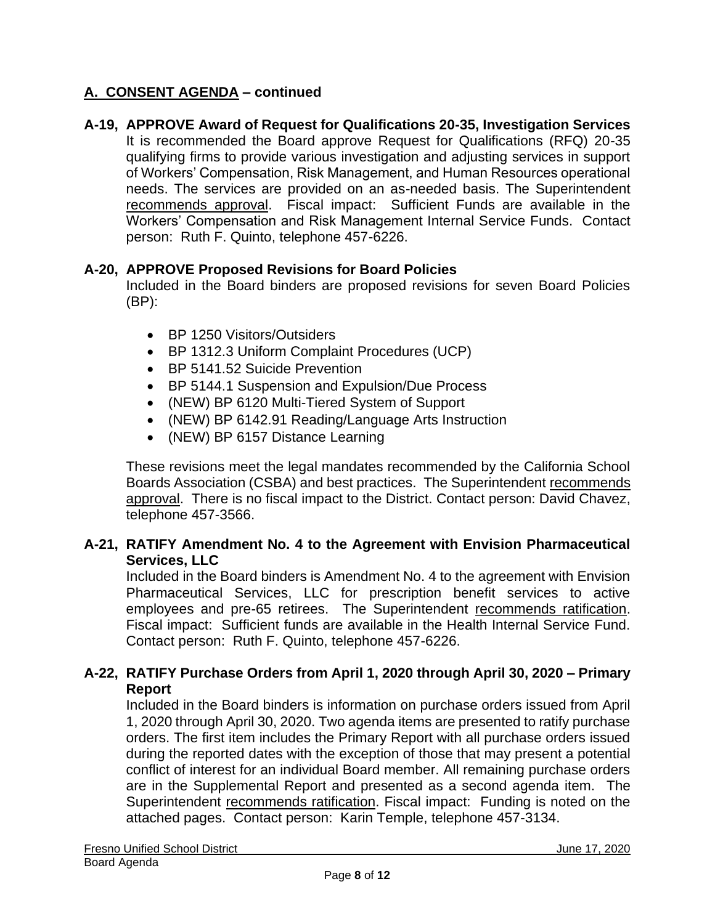# **A-19, APPROVE Award of Request for Qualifications 20-35, Investigation Services**

It is recommended the Board approve Request for Qualifications (RFQ) 20-35 qualifying firms to provide various investigation and adjusting services in support of Workers' Compensation, Risk Management, and Human Resources operational needs. The services are provided on an as-needed basis. The Superintendent recommends approval. Fiscal impact: Sufficient Funds are available in the Workers' Compensation and Risk Management Internal Service Funds. Contact person: Ruth F. Quinto, telephone 457-6226.

#### **A-20, APPROVE Proposed Revisions for Board Policies**

Included in the Board binders are proposed revisions for seven Board Policies (BP):

- BP 1250 Visitors/Outsiders
- BP 1312.3 Uniform Complaint Procedures (UCP)
- BP 5141.52 Suicide Prevention
- BP 5144.1 Suspension and Expulsion/Due Process
- (NEW) BP 6120 Multi-Tiered System of Support
- (NEW) BP 6142.91 Reading/Language Arts Instruction
- (NEW) BP 6157 Distance Learning

These revisions meet the legal mandates recommended by the California School Boards Association (CSBA) and best practices. The Superintendent recommends approval. There is no fiscal impact to the District. Contact person: David Chavez, telephone 457-3566.

#### **A-21, RATIFY Amendment No. 4 to the Agreement with Envision Pharmaceutical Services, LLC**

Included in the Board binders is Amendment No. 4 to the agreement with Envision Pharmaceutical Services, LLC for prescription benefit services to active employees and pre-65 retirees. The Superintendent recommends ratification. Fiscal impact: Sufficient funds are available in the Health Internal Service Fund. Contact person: Ruth F. Quinto, telephone 457-6226.

### **A-22, RATIFY Purchase Orders from April 1, 2020 through April 30, 2020 – Primary Report**

Included in the Board binders is information on purchase orders issued from April 1, 2020 through April 30, 2020. Two agenda items are presented to ratify purchase orders. The first item includes the Primary Report with all purchase orders issued during the reported dates with the exception of those that may present a potential conflict of interest for an individual Board member. All remaining purchase orders are in the Supplemental Report and presented as a second agenda item. The Superintendent recommends ratification. Fiscal impact: Funding is noted on the attached pages. Contact person: Karin Temple, telephone 457-3134.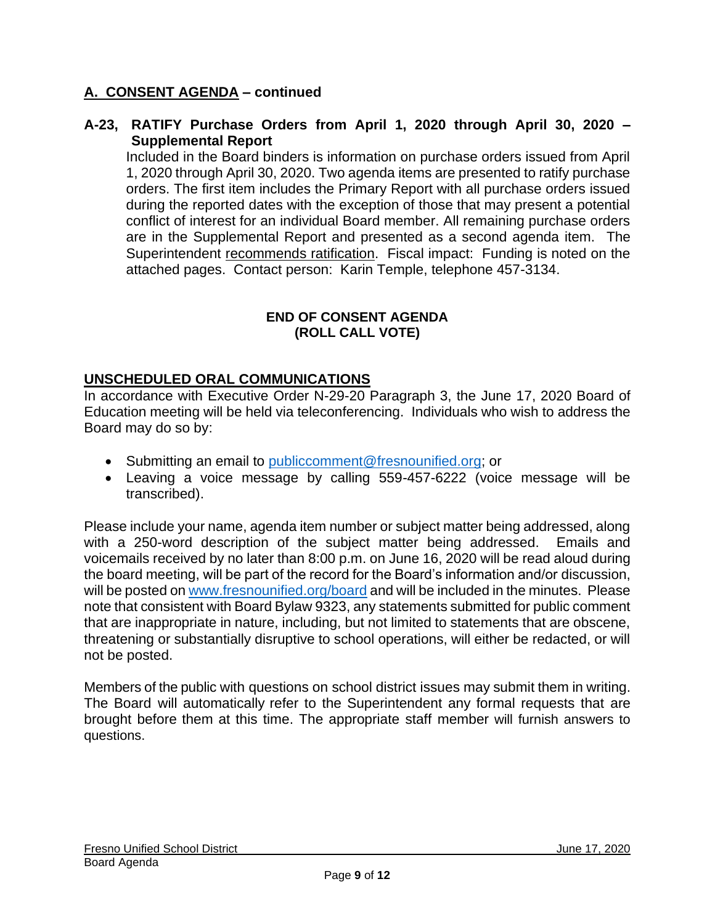#### **A-23, RATIFY Purchase Orders from April 1, 2020 through April 30, 2020 – Supplemental Report**

Included in the Board binders is information on purchase orders issued from April 1, 2020 through April 30, 2020. Two agenda items are presented to ratify purchase orders. The first item includes the Primary Report with all purchase orders issued during the reported dates with the exception of those that may present a potential conflict of interest for an individual Board member. All remaining purchase orders are in the Supplemental Report and presented as a second agenda item. The Superintendent recommends ratification. Fiscal impact: Funding is noted on the attached pages. Contact person: Karin Temple, telephone 457-3134.

#### **END OF CONSENT AGENDA (ROLL CALL VOTE)**

### **UNSCHEDULED ORAL COMMUNICATIONS**

In accordance with Executive Order N-29-20 Paragraph 3, the June 17, 2020 Board of Education meeting will be held via teleconferencing. Individuals who wish to address the Board may do so by:

- Submitting an email to [publiccomment@fresnounified.org;](mailto:publiccomment@fresnounified.org) or
- Leaving a voice message by calling 559-457-6222 (voice message will be transcribed).

Please include your name, agenda item number or subject matter being addressed, along with a 250-word description of the subject matter being addressed. Emails and voicemails received by no later than 8:00 p.m. on June 16, 2020 will be read aloud during the board meeting, will be part of the record for the Board's information and/or discussion, will be posted o[n www.fresnounified.org/board](http://www.fresnounified.org/board) and will be included in the minutes. Please note that consistent with Board Bylaw 9323, any statements submitted for public comment that are inappropriate in nature, including, but not limited to statements that are obscene, threatening or substantially disruptive to school operations, will either be redacted, or will not be posted.

Members of the public with questions on school district issues may submit them in writing. The Board will automatically refer to the Superintendent any formal requests that are brought before them at this time. The appropriate staff member will furnish answers to questions.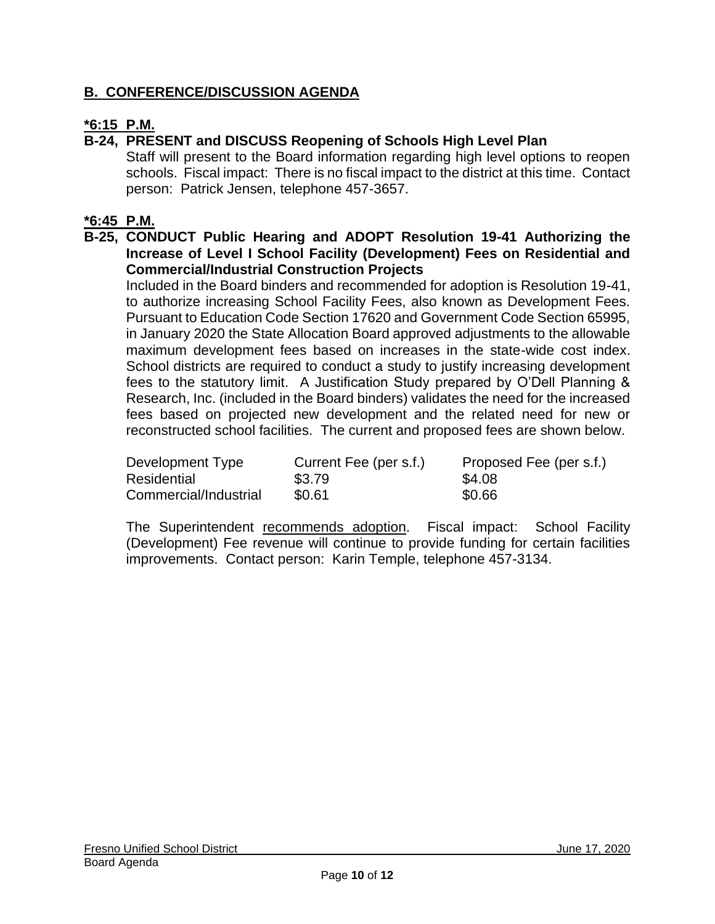## **B. CONFERENCE/DISCUSSION AGENDA**

### **\*6:15 P.M.**

### **B-24, PRESENT and DISCUSS Reopening of Schools High Level Plan**

Staff will present to the Board information regarding high level options to reopen schools. Fiscal impact: There is no fiscal impact to the district at this time. Contact person: Patrick Jensen, telephone 457-3657.

#### **\*6:45 P.M.**

#### **B-25, CONDUCT Public Hearing and ADOPT Resolution 19-41 Authorizing the Increase of Level I School Facility (Development) Fees on Residential and Commercial/Industrial Construction Projects**

Included in the Board binders and recommended for adoption is Resolution 19-41, to authorize increasing School Facility Fees, also known as Development Fees. Pursuant to Education Code Section 17620 and Government Code Section 65995, in January 2020 the State Allocation Board approved adjustments to the allowable maximum development fees based on increases in the state-wide cost index. School districts are required to conduct a study to justify increasing development fees to the statutory limit. A Justification Study prepared by O'Dell Planning & Research, Inc. (included in the Board binders) validates the need for the increased fees based on projected new development and the related need for new or reconstructed school facilities. The current and proposed fees are shown below.

| Development Type      | Current Fee (per s.f.) | Proposed Fee (per s.f.) |
|-----------------------|------------------------|-------------------------|
| Residential           | \$3.79                 | \$4.08                  |
| Commercial/Industrial | \$0.61                 | \$0.66                  |

The Superintendent recommends adoption. Fiscal impact: School Facility (Development) Fee revenue will continue to provide funding for certain facilities improvements. Contact person: Karin Temple, telephone 457-3134.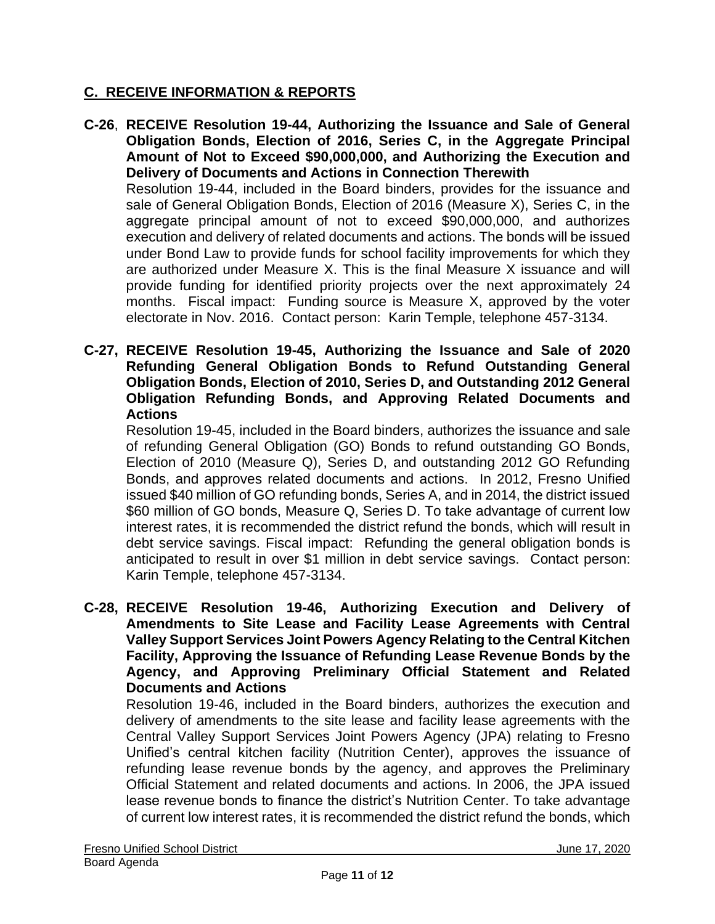### **C. RECEIVE INFORMATION & REPORTS**

- **C-26**, **RECEIVE Resolution 19-44, Authorizing the Issuance and Sale of General Obligation Bonds, Election of 2016, Series C, in the Aggregate Principal Amount of Not to Exceed \$90,000,000, and Authorizing the Execution and Delivery of Documents and Actions in Connection Therewith** Resolution 19-44, included in the Board binders, provides for the issuance and sale of General Obligation Bonds, Election of 2016 (Measure X), Series C, in the aggregate principal amount of not to exceed \$90,000,000, and authorizes execution and delivery of related documents and actions. The bonds will be issued under Bond Law to provide funds for school facility improvements for which they are authorized under Measure X. This is the final Measure X issuance and will provide funding for identified priority projects over the next approximately 24 months. Fiscal impact: Funding source is Measure X, approved by the voter electorate in Nov. 2016. Contact person: Karin Temple, telephone 457-3134.
- **C-27, RECEIVE Resolution 19-45, Authorizing the Issuance and Sale of 2020 Refunding General Obligation Bonds to Refund Outstanding General Obligation Bonds, Election of 2010, Series D, and Outstanding 2012 General Obligation Refunding Bonds, and Approving Related Documents and Actions**

Resolution 19-45, included in the Board binders, authorizes the issuance and sale of refunding General Obligation (GO) Bonds to refund outstanding GO Bonds, Election of 2010 (Measure Q), Series D, and outstanding 2012 GO Refunding Bonds, and approves related documents and actions. In 2012, Fresno Unified issued \$40 million of GO refunding bonds, Series A, and in 2014, the district issued \$60 million of GO bonds, Measure Q, Series D. To take advantage of current low interest rates, it is recommended the district refund the bonds, which will result in debt service savings. Fiscal impact: Refunding the general obligation bonds is anticipated to result in over \$1 million in debt service savings. Contact person: Karin Temple, telephone 457-3134.

**C-28, RECEIVE Resolution 19-46, Authorizing Execution and Delivery of Amendments to Site Lease and Facility Lease Agreements with Central Valley Support Services Joint Powers Agency Relating to the Central Kitchen Facility, Approving the Issuance of Refunding Lease Revenue Bonds by the Agency, and Approving Preliminary Official Statement and Related Documents and Actions**

Resolution 19-46, included in the Board binders, authorizes the execution and delivery of amendments to the site lease and facility lease agreements with the Central Valley Support Services Joint Powers Agency (JPA) relating to Fresno Unified's central kitchen facility (Nutrition Center), approves the issuance of refunding lease revenue bonds by the agency, and approves the Preliminary Official Statement and related documents and actions. In 2006, the JPA issued lease revenue bonds to finance the district's Nutrition Center. To take advantage of current low interest rates, it is recommended the district refund the bonds, which